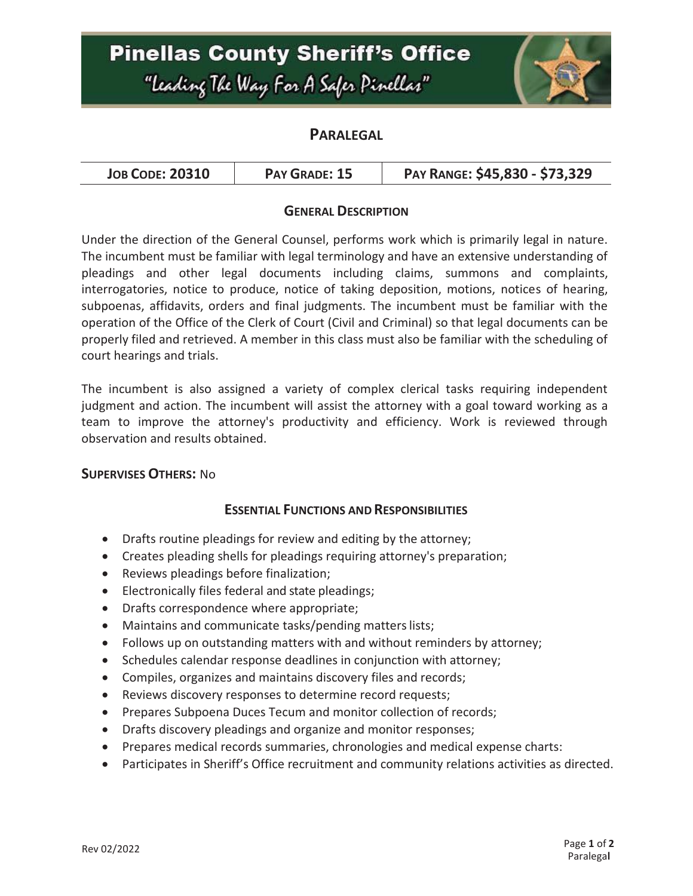# **Pinellas County Sheriff's Office** "Leading The Way For A Safer Pinellar"



## **PARALEGAL**

| <b>JOB CODE: 20310</b><br>PAY GRADE: 15 | PAY RANGE: \$45,830 - \$73,329 |
|-----------------------------------------|--------------------------------|
|-----------------------------------------|--------------------------------|

#### **GENERAL DESCRIPTION**

Under the direction of the General Counsel, performs work which is primarily legal in nature. The incumbent must be familiar with legal terminology and have an extensive understanding of pleadings and other legal documents including claims, summons and complaints, interrogatories, notice to produce, notice of taking deposition, motions, notices of hearing, subpoenas, affidavits, orders and final judgments. The incumbent must be familiar with the operation of the Office of the Clerk of Court (Civil and Criminal) so that legal documents can be properly filed and retrieved. A member in this class must also be familiar with the scheduling of court hearings and trials.

The incumbent is also assigned a variety of complex clerical tasks requiring independent judgment and action. The incumbent will assist the attorney with a goal toward working as a team to improve the attorney's productivity and efficiency. Work is reviewed through observation and results obtained.

#### **SUPERVISES OTHERS:** No

#### **ESSENTIAL FUNCTIONS AND RESPONSIBILITIES**

- Drafts routine pleadings for review and editing by the attorney;
- Creates pleading shells for pleadings requiring attorney's preparation;
- Reviews pleadings before finalization;
- Electronically files federal and state pleadings;
- Drafts correspondence where appropriate;
- Maintains and communicate tasks/pending matters lists;
- Follows up on outstanding matters with and without reminders by attorney;
- Schedules calendar response deadlines in conjunction with attorney;
- Compiles, organizes and maintains discovery files and records;
- Reviews discovery responses to determine record requests;
- Prepares Subpoena Duces Tecum and monitor collection of records;
- Drafts discovery pleadings and organize and monitor responses;
- Prepares medical records summaries, chronologies and medical expense charts:
- Participates in Sheriff's Office recruitment and community relations activities as directed.